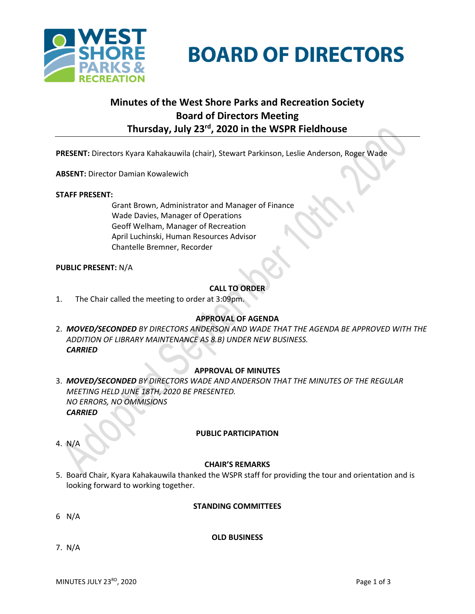

**BOARD OF DIRECTORS** 

# **Minutes of the West Shore Parks and Recreation Society Board of Directors Meeting Thursday, July 23rd , 2020 in the WSPR Fieldhouse**

**PRESENT:** Directors Kyara Kahakauwila (chair), Stewart Parkinson, Leslie Anderson, Roger Wade

**ABSENT:** Director Damian Kowalewich

#### **STAFF PRESENT:**

Grant Brown, Administrator and Manager of Finance Wade Davies, Manager of Operations Geoff Welham, Manager of Recreation April Luchinski, Human Resources Advisor Chantelle Bremner, Recorder

## **PUBLIC PRESENT:** N/A

## **CALL TO ORDER**

1. The Chair called the meeting to order at 3:09pm.

## **APPROVAL OF AGENDA**

2. *MOVED/SECONDED BY DIRECTORS ANDERSON AND WADE THAT THE AGENDA BE APPROVED WITH THE ADDITION OF LIBRARY MAINTENANCE AS 8.B) UNDER NEW BUSINESS. CARRIED*

## **APPROVAL OF MINUTES**

- 3. *MOVED/SECONDED BY DIRECTORS WADE AND ANDERSON THAT THE MINUTES OF THE REGULAR MEETING HELD JUNE 18TH, 2020 BE PRESENTED. NO ERRORS, NO OMMISIONS CARRIED*
	- **PUBLIC PARTICIPATION**

4. N/A

## **CHAIR'S REMARKS**

5. Board Chair, Kyara Kahakauwila thanked the WSPR staff for providing the tour and orientation and is looking forward to working together.

## **STANDING COMMITTEES**

6 N/A

# **OLD BUSINESS**

7. N/A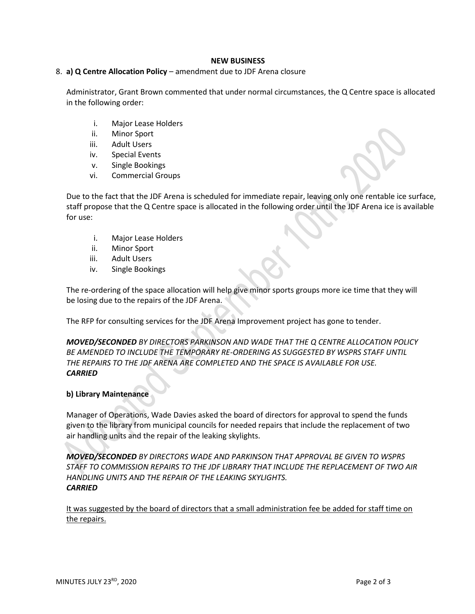## **NEW BUSINESS**

## 8. **a) Q Centre Allocation Policy** – amendment due to JDF Arena closure

Administrator, Grant Brown commented that under normal circumstances, the Q Centre space is allocated in the following order:

- i. Major Lease Holders
- ii. Minor Sport
- iii. Adult Users
- iv. Special Events
- v. Single Bookings
- vi. Commercial Groups

Due to the fact that the JDF Arena is scheduled for immediate repair, leaving only one rentable ice surface, staff propose that the Q Centre space is allocated in the following order until the JDF Arena ice is available for use:

- i. Major Lease Holders
- ii. Minor Sport
- iii. Adult Users
- iv. Single Bookings

The re-ordering of the space allocation will help give minor sports groups more ice time that they will be losing due to the repairs of the JDF Arena.

The RFP for consulting services for the JDF Arena Improvement project has gone to tender.

*MOVED/SECONDED BY DIRECTORS PARKINSON AND WADE THAT THE Q CENTRE ALLOCATION POLICY BE AMENDED TO INCLUDE THE TEMPORARY RE-ORDERING AS SUGGESTED BY WSPRS STAFF UNTIL THE REPAIRS TO THE JDF ARENA ARE COMPLETED AND THE SPACE IS AVAILABLE FOR USE. CARRIED*

## **b) Library Maintenance**

Manager of Operations, Wade Davies asked the board of directors for approval to spend the funds given to the library from municipal councils for needed repairs that include the replacement of two air handling units and the repair of the leaking skylights.

*MOVED/SECONDED BY DIRECTORS WADE AND PARKINSON THAT APPROVAL BE GIVEN TO WSPRS STAFF TO COMMISSION REPAIRS TO THE JDF LIBRARY THAT INCLUDE THE REPLACEMENT OF TWO AIR HANDLING UNITS AND THE REPAIR OF THE LEAKING SKYLIGHTS. CARRIED*

It was suggested by the board of directors that a small administration fee be added for staff time on the repairs.